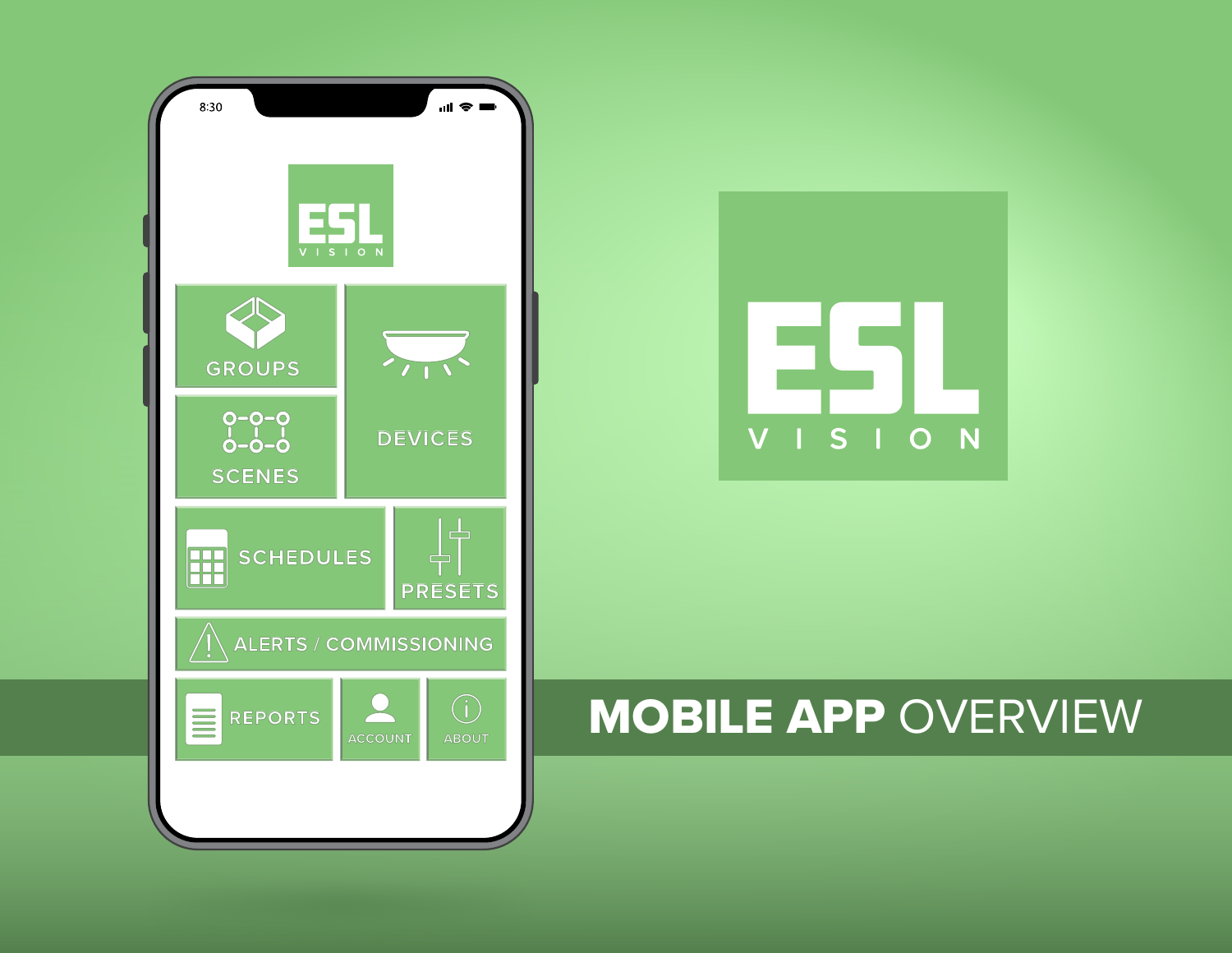



#### MOBILE APP OVERVIEW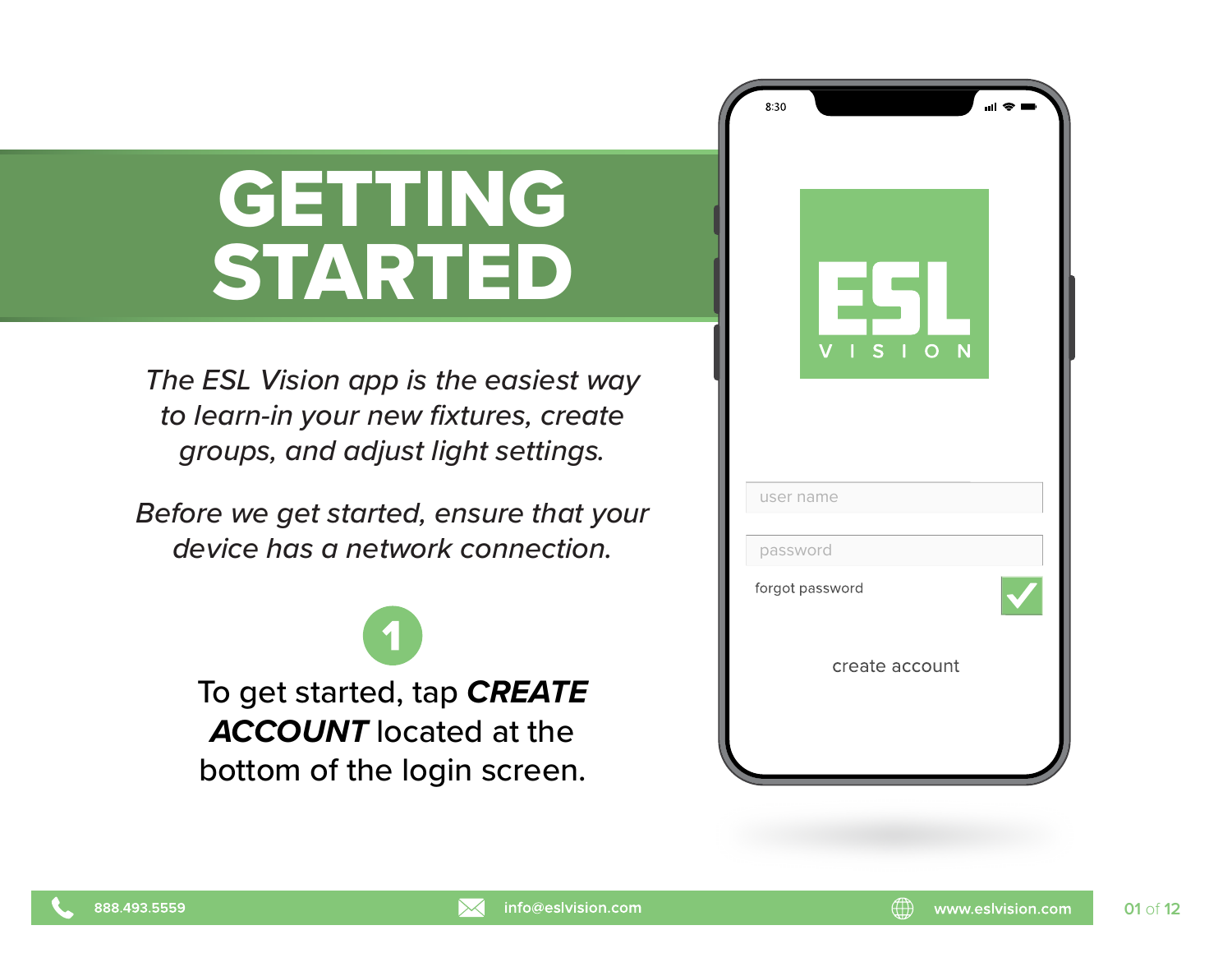## GETTING STARTED

*The ESL Vision app is the easiest way to learn-in your new fixtures, create groups, and adjust light settings.*

*Before we get started, ensure that your device has a network connection.*

> To get started, tap *CREATE ACCOUNT* located at the bottom of the login screen.

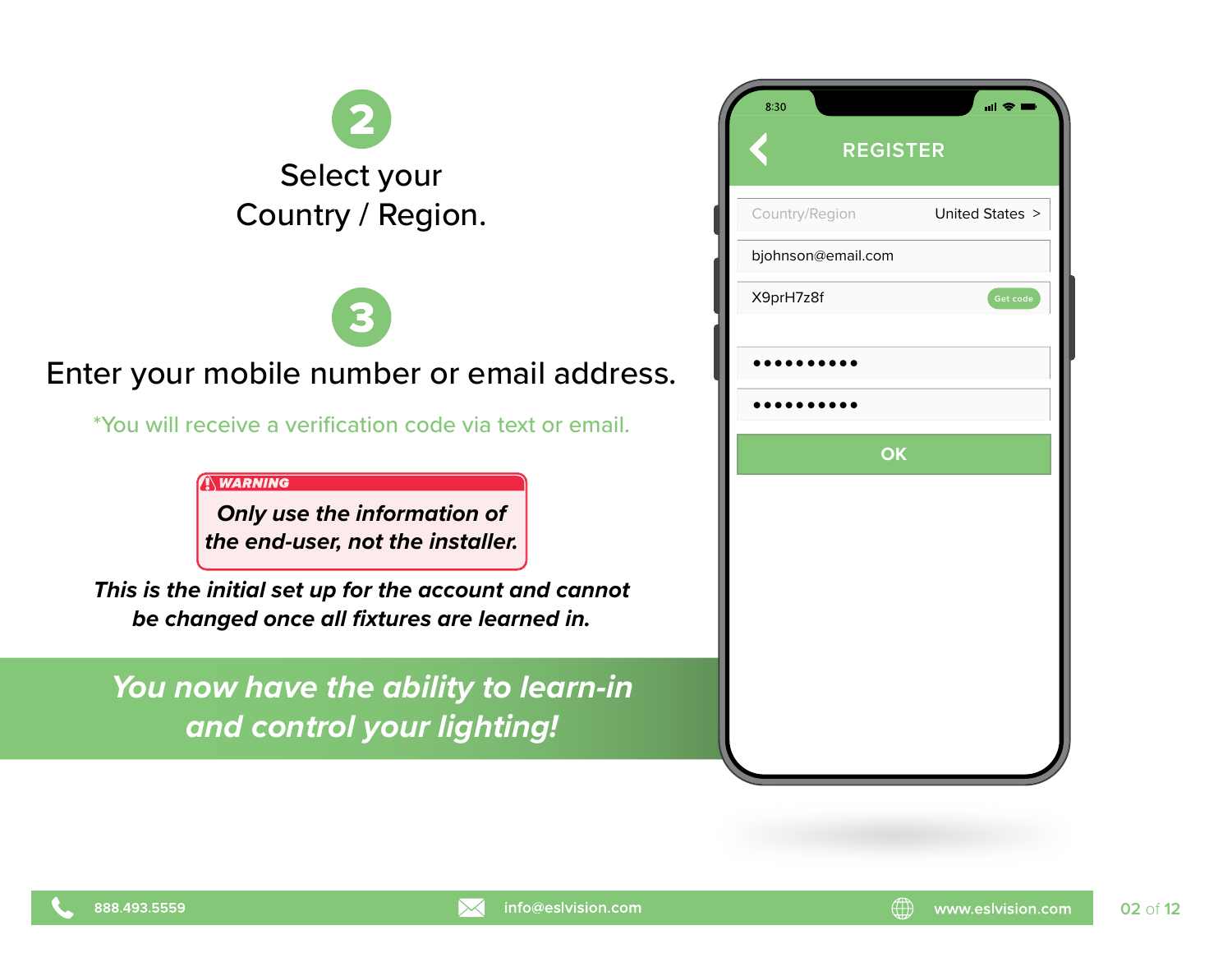

#### Enter your mobile number or email address.

\*You will receive a verification code via text or email.

**WARNING** 

*Only use the information of the end-user, not the installer.*

*This is the initial set up for the account and cannot be changed once all fixtures are learned in.*

*You now have the ability to learn-in and control your lighting!*

| United States > |  |  |  |  |  |
|-----------------|--|--|--|--|--|
|                 |  |  |  |  |  |
| Get code        |  |  |  |  |  |
|                 |  |  |  |  |  |
|                 |  |  |  |  |  |
| OK              |  |  |  |  |  |
|                 |  |  |  |  |  |
|                 |  |  |  |  |  |
|                 |  |  |  |  |  |
|                 |  |  |  |  |  |
|                 |  |  |  |  |  |
|                 |  |  |  |  |  |
|                 |  |  |  |  |  |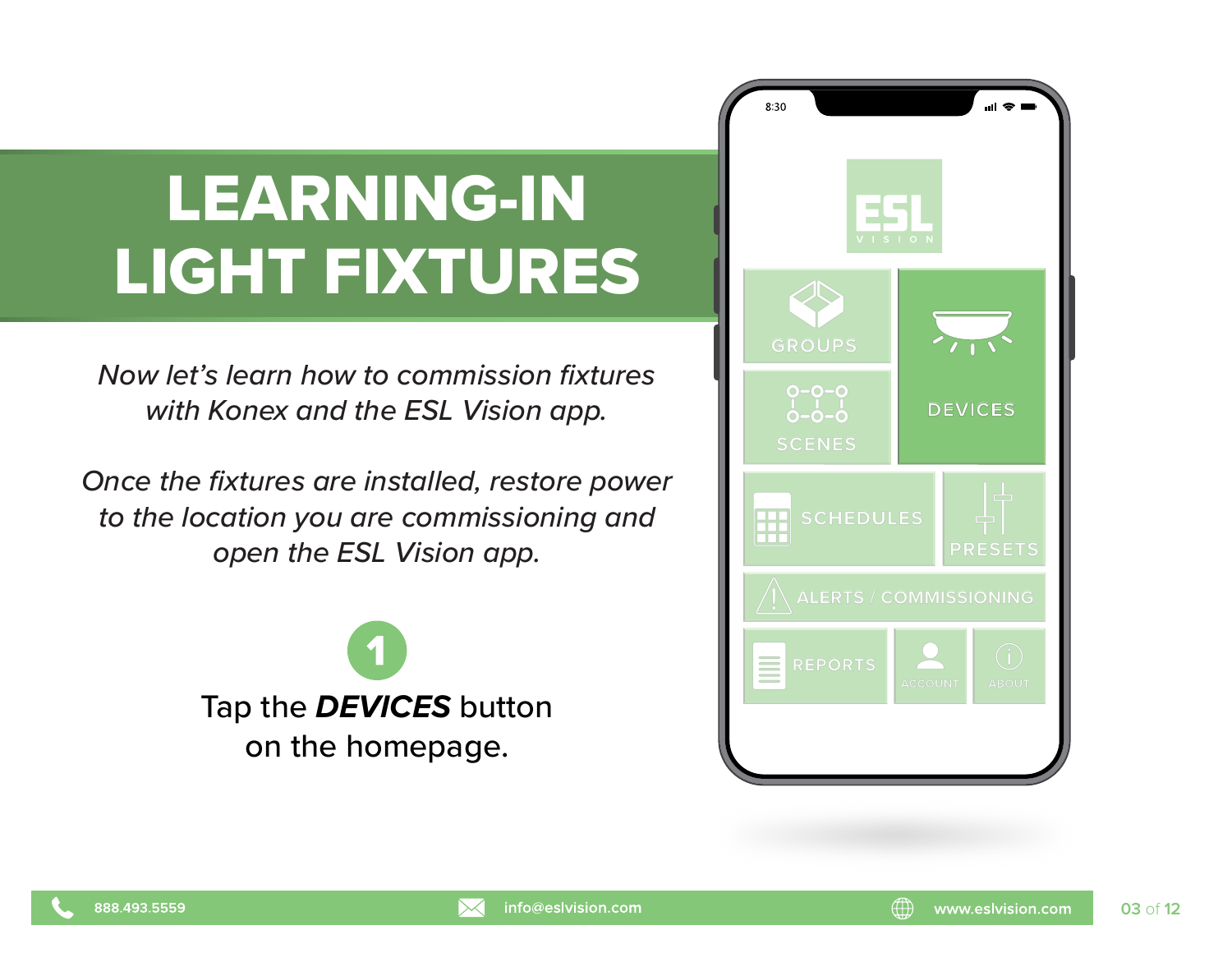### LEARNING-IN LIGHT FIXTURES

*Now let's learn how to commission fixtures with Konex and the ESL Vision app.*

*Once the fixtures are installed, restore power to the location you are commissioning and open the ESL Vision app.*



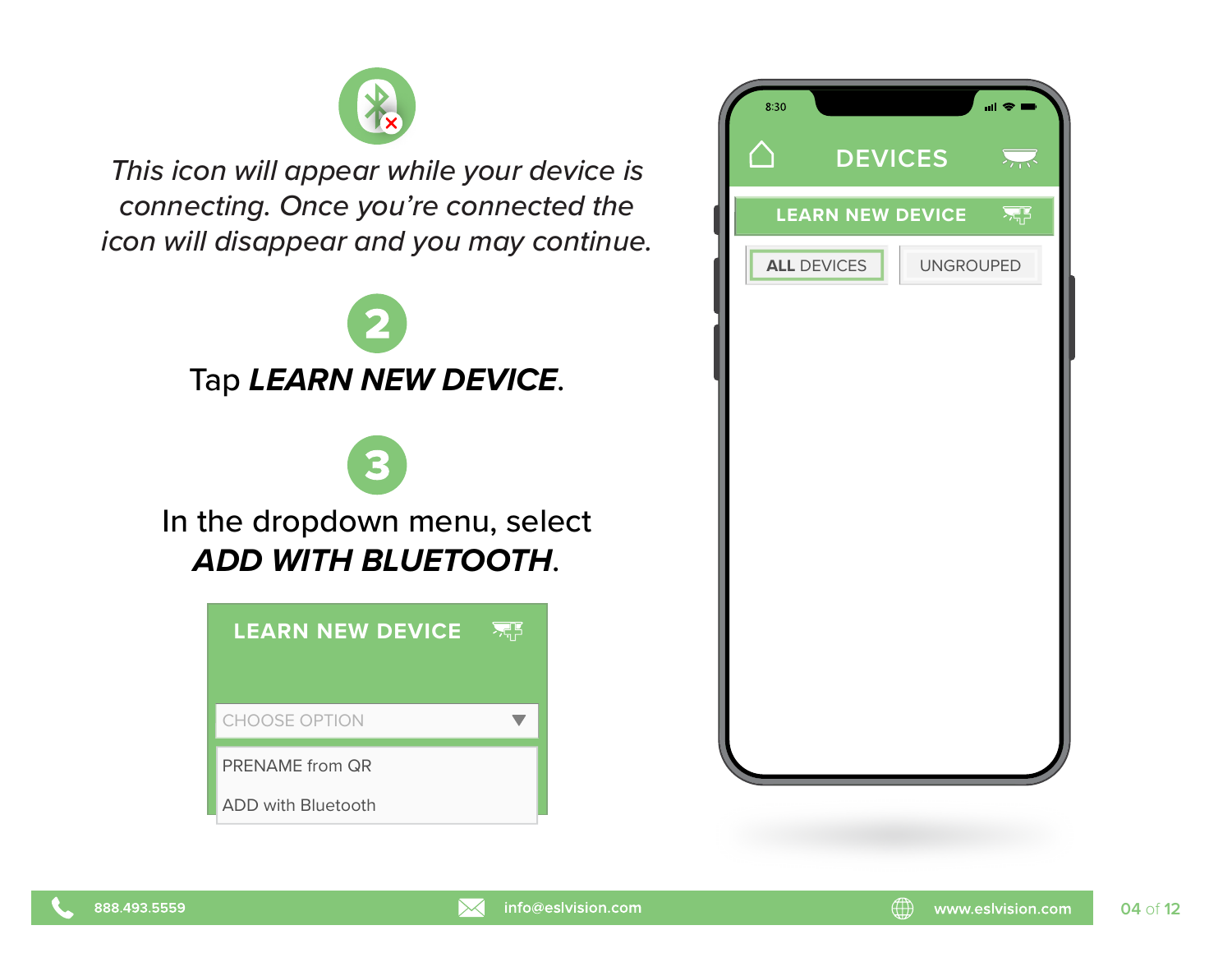

*This icon will appear while your device is connecting. Once you're connected the icon will disappear and you may continue.*







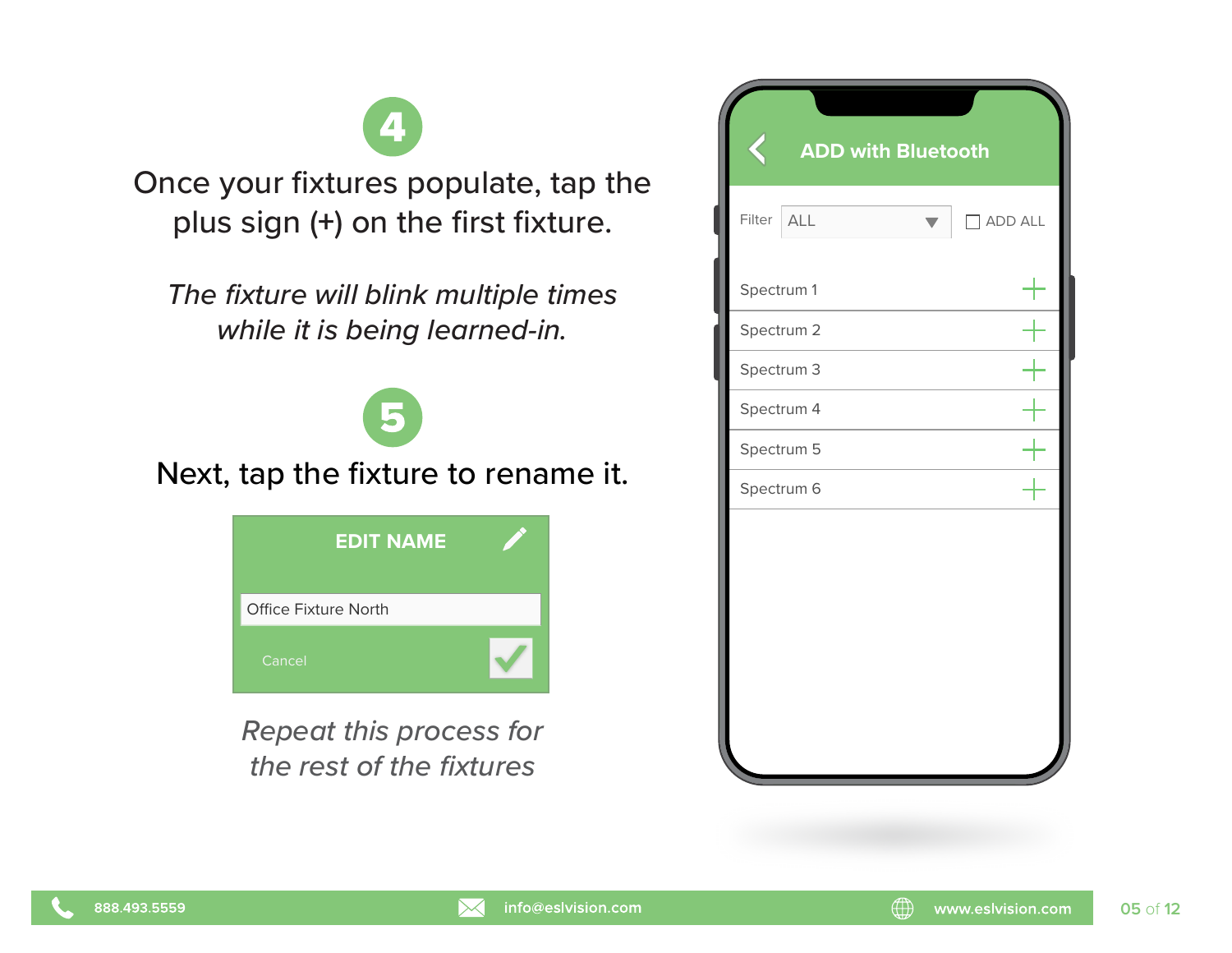Once your fixtures populate, tap the plus sign (**+**) on the first fixture.

*The fixture will blink multiple times while it is being learned-in.*

Next, tap the fixture to rename it.

| <b>EDIT NAME</b>     |  |
|----------------------|--|
| Office Fixture North |  |
| Cancel               |  |

*Repeat this process for the rest of the fixtures*

| ζ          | <b>ADD with Bluetooth</b> |                |
|------------|---------------------------|----------------|
| Filter     | ALL                       | $\Box$ ADD ALL |
| Spectrum 1 |                           |                |
| Spectrum 2 |                           |                |
| Spectrum 3 |                           |                |
| Spectrum 4 |                           |                |
| Spectrum 5 |                           |                |
| Spectrum 6 |                           |                |
|            |                           |                |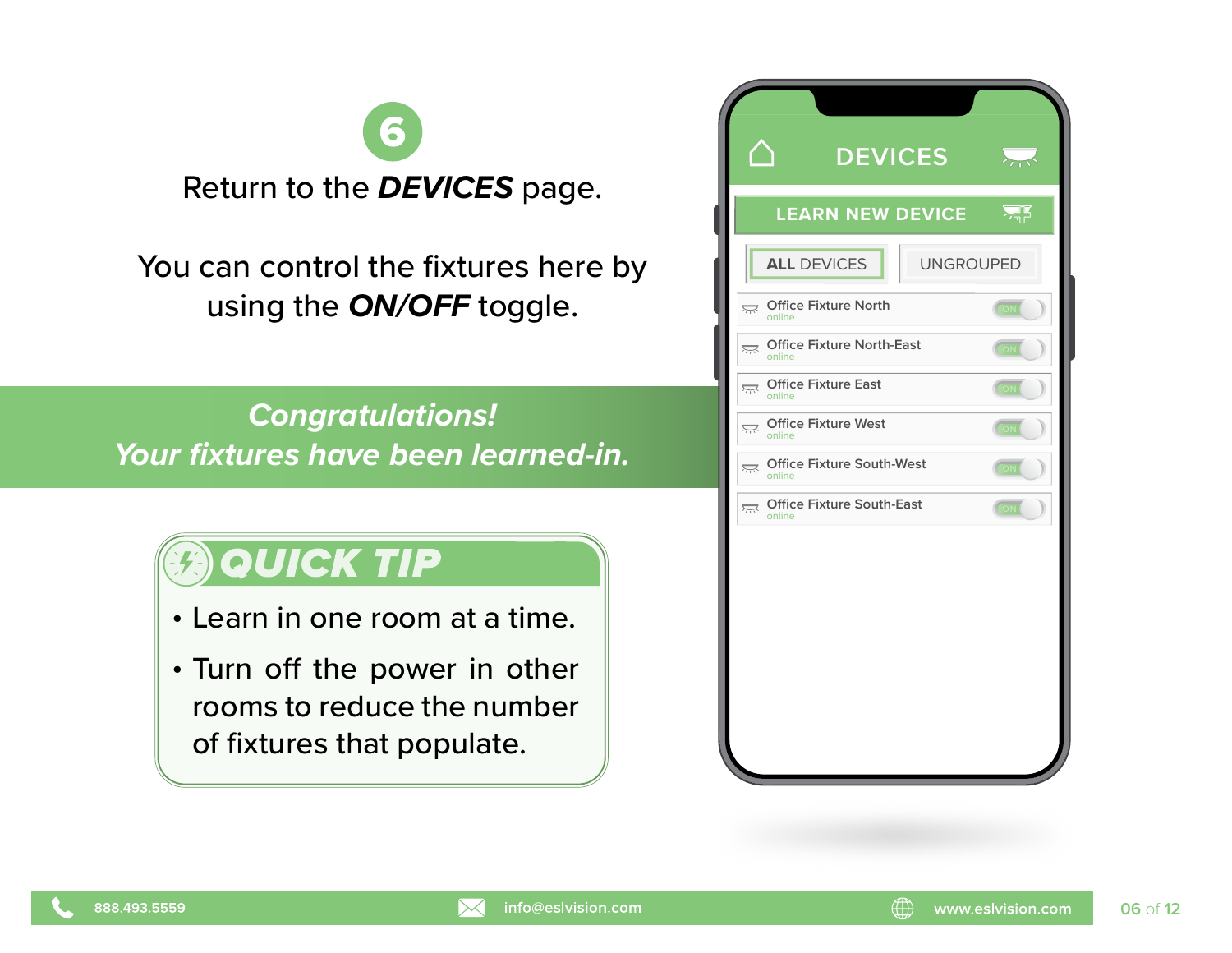

You can control the fixtures here by using the *ON/OFF* toggle.

*Congratulations! Your fixtures have been learned-in.*

#### **QUICK TIP**

- Learn in one room at a time.
- . Turn off the power in other rooms to reduce the number of fixtures that populate.

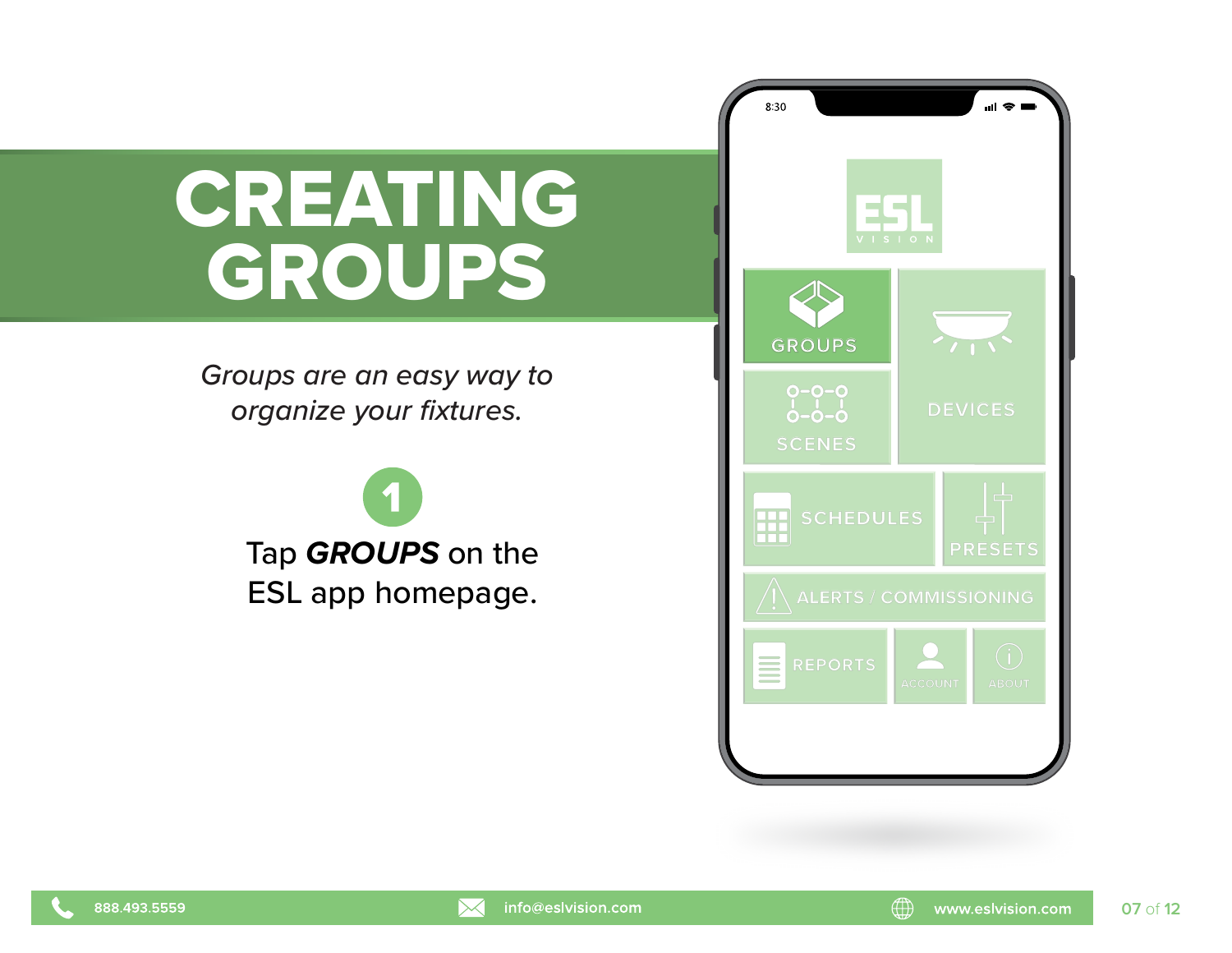# CREATING GROUPS

*Groups are an easy way to*  **organize your fixtures. DEVICES** 



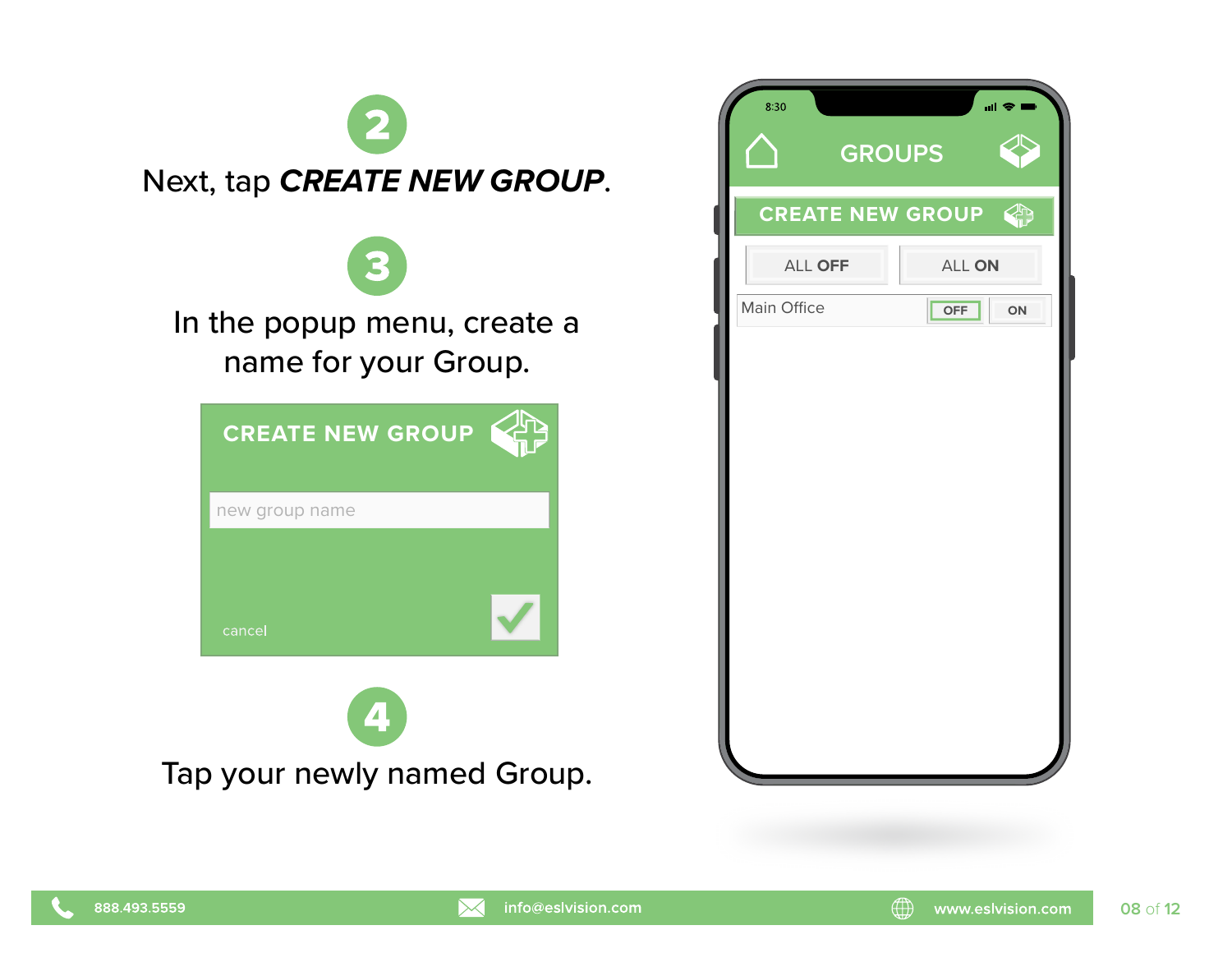

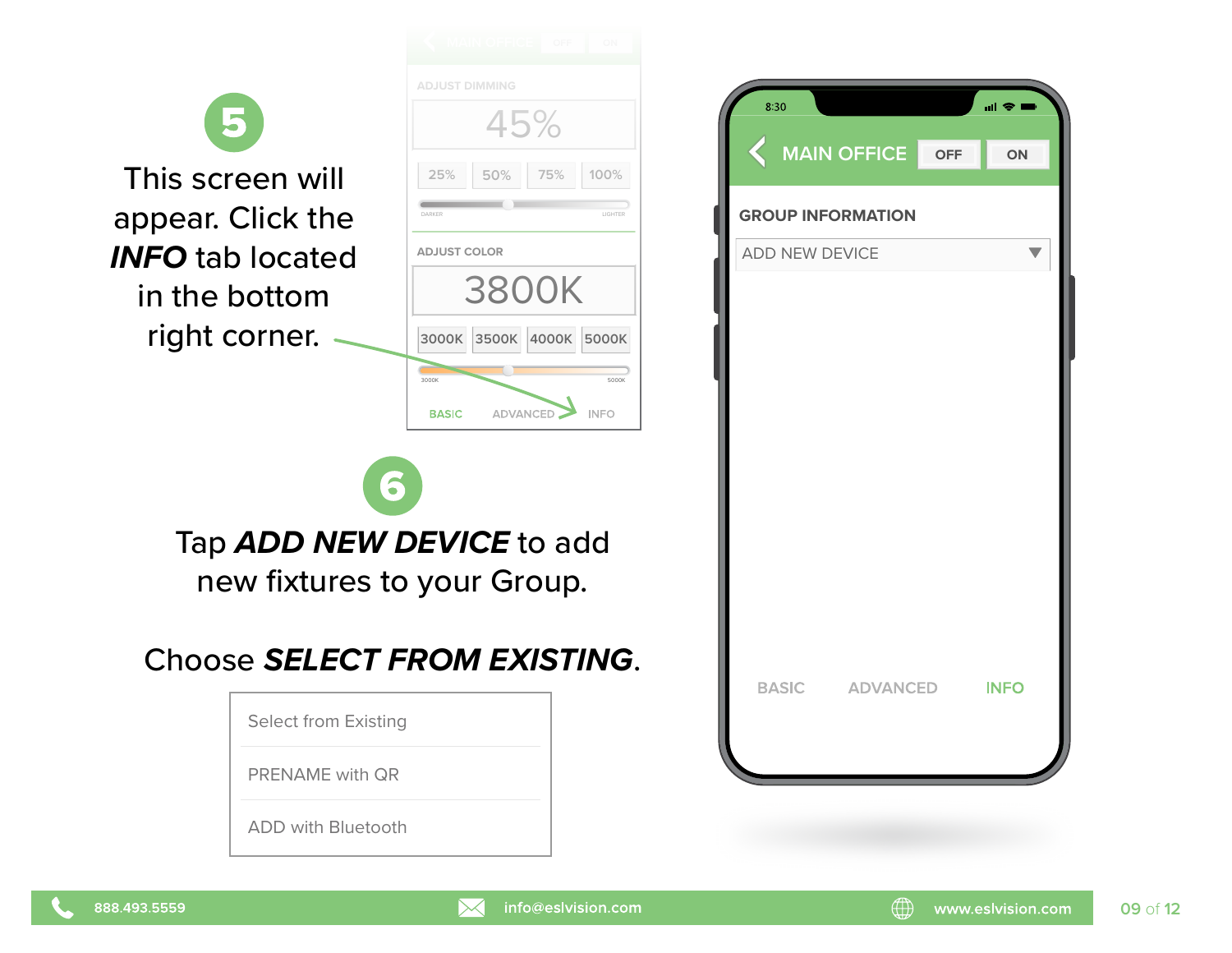|                                                                  | <b>ADJUST DIMMING</b><br>45%             |                      | 8:30<br><b>MAIN OFFI</b>                      |
|------------------------------------------------------------------|------------------------------------------|----------------------|-----------------------------------------------|
| This screen will<br>appear. Click the<br><b>INFO</b> tab located | 75%<br>25%<br>50%<br><b>ADJUST COLOR</b> | 100%<br>LIGHTER      | <b>GROUP INFORMA</b><br><b>ADD NEW DEVICE</b> |
| in the bottom<br>right corner.                                   | <b>3800K</b><br>3000K 3500K 4000K 5000K  |                      |                                               |
|                                                                  | 3000K<br>ADVANCED<br><b>BASIC</b>        | 5000K<br><b>INFO</b> |                                               |
| 6<br>Tap ADD NEW DEVICE to add<br>new fixtures to your Group.    |                                          |                      |                                               |
| Choose SELECT FROM EXISTING.                                     |                                          |                      | <b>BASIC</b><br>AD\                           |
| <b>Select from Existing</b><br><b>PRENAME</b> with QR            |                                          |                      |                                               |
| <b>ADD with Bluetooth</b>                                        |                                          |                      |                                               |
|                                                                  |                                          |                      |                                               |

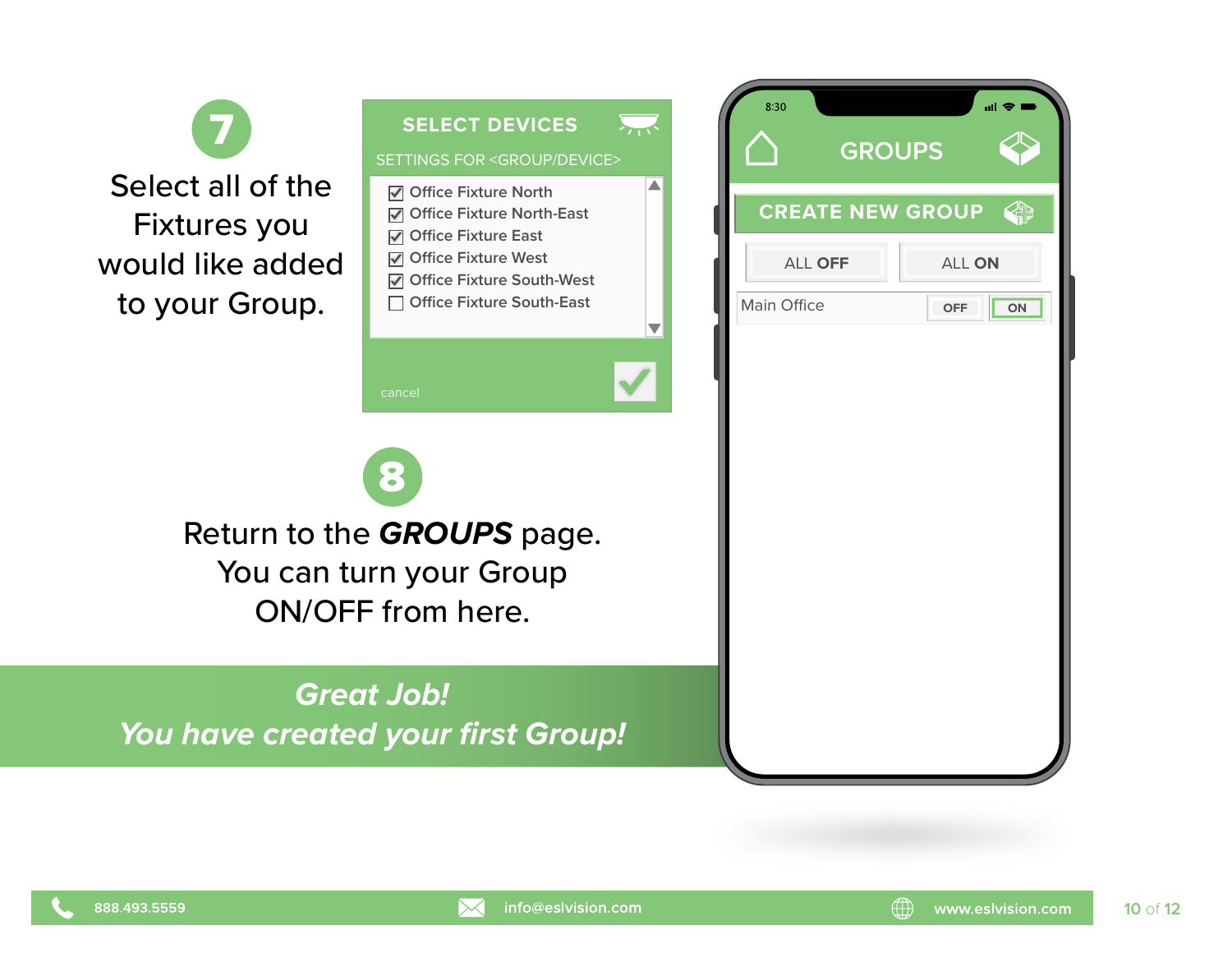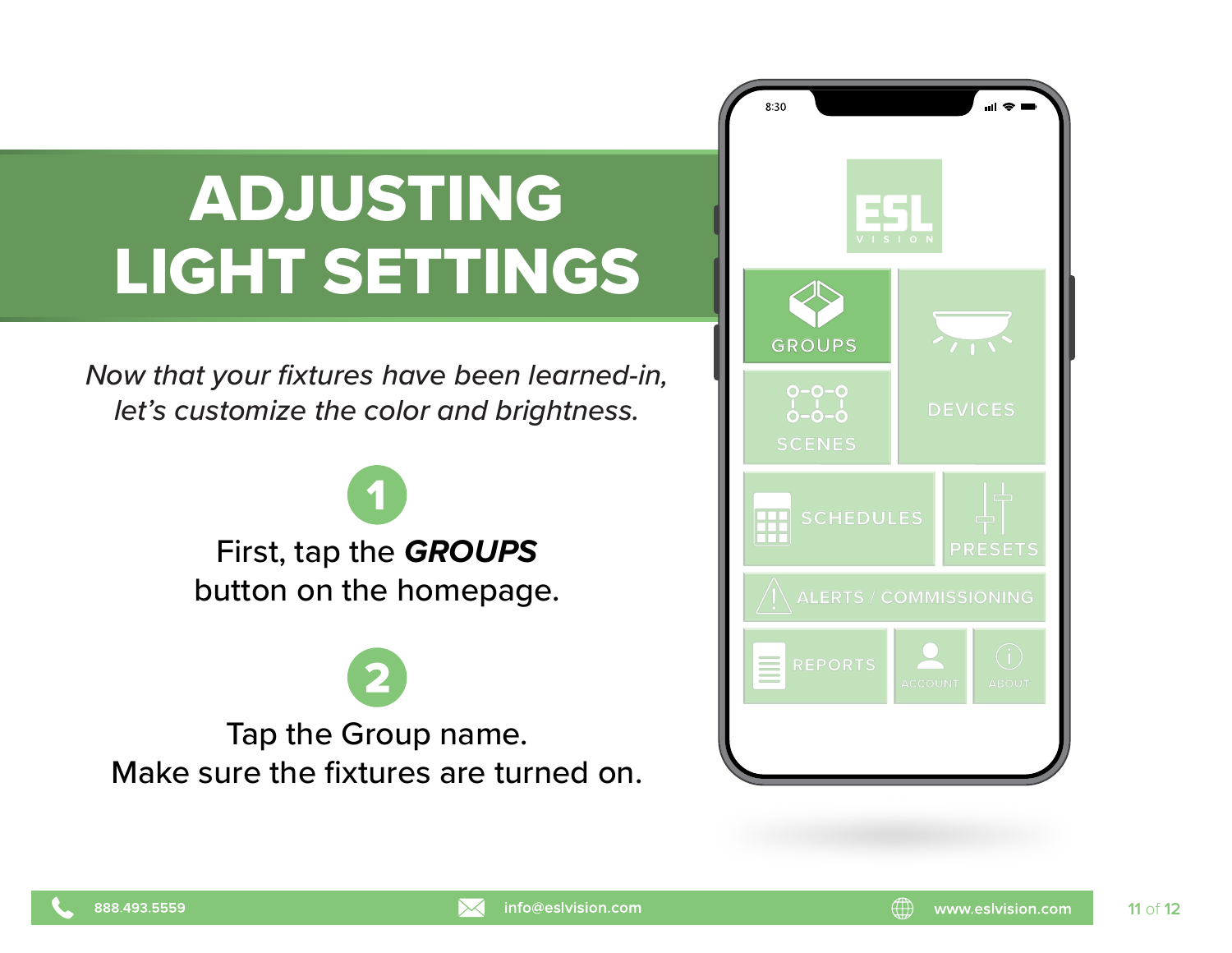### ADJUSTING LIGHT SETTINGS

*Now that your fixtures have been learned-in, let's customize the color and brightness.* **<b>DEVICES** 

> First, tap the *GROUPS* **PRESETS** button on the homepage.

Tap the Group name. Make sure the fixtures are turned on.



**11** of **12**